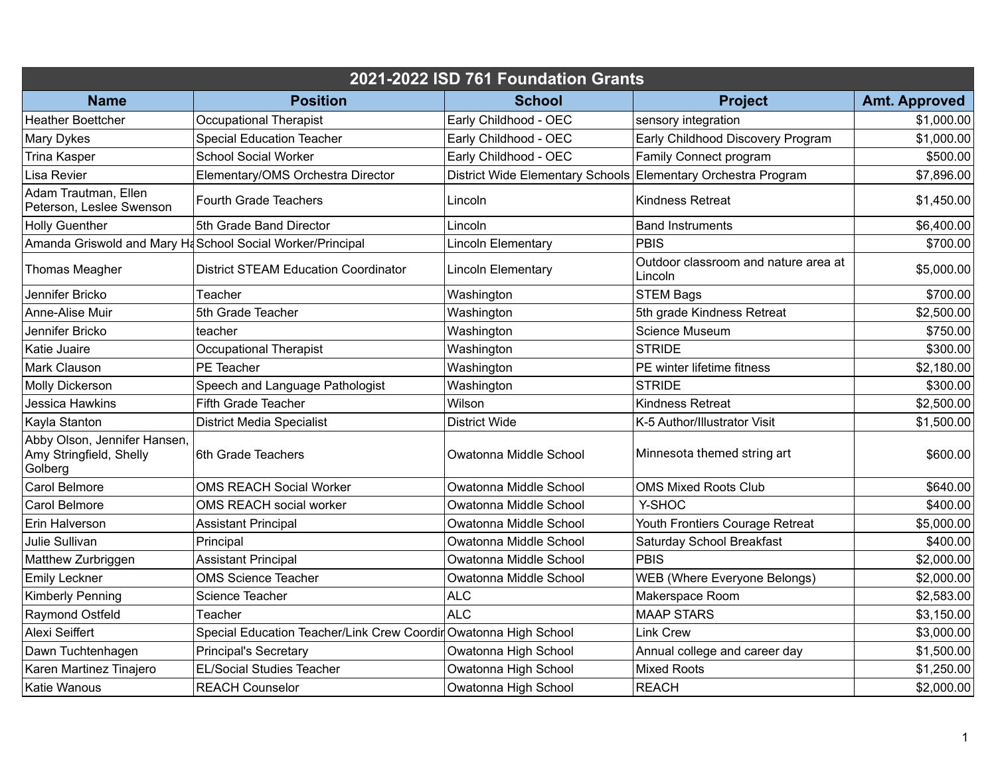| 2021-2022 ISD 761 Foundation Grants                                |                                                                  |                                                               |                                                 |                      |  |  |  |
|--------------------------------------------------------------------|------------------------------------------------------------------|---------------------------------------------------------------|-------------------------------------------------|----------------------|--|--|--|
| <b>Name</b>                                                        | <b>Position</b>                                                  | <b>School</b>                                                 | <b>Project</b>                                  | <b>Amt. Approved</b> |  |  |  |
| <b>Heather Boettcher</b>                                           | <b>Occupational Therapist</b>                                    | Early Childhood - OEC                                         | sensory integration                             | \$1,000.00           |  |  |  |
| <b>Mary Dykes</b>                                                  | <b>Special Education Teacher</b>                                 | Early Childhood - OEC                                         | Early Childhood Discovery Program               | \$1,000.00           |  |  |  |
| <b>Trina Kasper</b>                                                | <b>School Social Worker</b>                                      | Early Childhood - OEC                                         | Family Connect program                          | \$500.00             |  |  |  |
| Lisa Revier                                                        | Elementary/OMS Orchestra Director                                | District Wide Elementary Schools Elementary Orchestra Program |                                                 | \$7,896.00           |  |  |  |
| Adam Trautman, Ellen<br>Peterson, Leslee Swenson                   | <b>Fourth Grade Teachers</b>                                     | Lincoln                                                       | <b>Kindness Retreat</b>                         | \$1,450.00           |  |  |  |
| <b>Holly Guenther</b>                                              | 5th Grade Band Director                                          | Lincoln                                                       | <b>Band Instruments</b>                         | \$6,400.00           |  |  |  |
|                                                                    | Amanda Griswold and Mary H&School Social Worker/Principal        | Lincoln Elementary                                            | <b>PBIS</b>                                     | \$700.00             |  |  |  |
| Thomas Meagher                                                     | <b>District STEAM Education Coordinator</b>                      | <b>Lincoln Elementary</b>                                     | Outdoor classroom and nature area at<br>Lincoln | \$5,000.00           |  |  |  |
| Jennifer Bricko                                                    | Teacher                                                          | Washington                                                    | <b>STEM Bags</b>                                | \$700.00             |  |  |  |
| Anne-Alise Muir                                                    | 5th Grade Teacher                                                | Washington                                                    | 5th grade Kindness Retreat                      | \$2,500.00           |  |  |  |
| Jennifer Bricko                                                    | teacher                                                          | Washington                                                    | <b>Science Museum</b>                           | \$750.00             |  |  |  |
| Katie Juaire                                                       | <b>Occupational Therapist</b>                                    | Washington                                                    | <b>STRIDE</b>                                   | \$300.00             |  |  |  |
| <b>Mark Clauson</b>                                                | PE Teacher                                                       | Washington                                                    | PE winter lifetime fitness                      | \$2,180.00           |  |  |  |
| <b>Molly Dickerson</b>                                             | Speech and Language Pathologist                                  | Washington                                                    | <b>STRIDE</b>                                   | \$300.00             |  |  |  |
| Jessica Hawkins                                                    | Fifth Grade Teacher                                              | Wilson                                                        | <b>Kindness Retreat</b>                         | \$2,500.00           |  |  |  |
| Kayla Stanton                                                      | <b>District Media Specialist</b>                                 | <b>District Wide</b>                                          | K-5 Author/Illustrator Visit                    | \$1,500.00           |  |  |  |
| Abby Olson, Jennifer Hansen,<br>Amy Stringfield, Shelly<br>Golberg | 6th Grade Teachers                                               | Owatonna Middle School                                        | Minnesota themed string art                     | \$600.00]            |  |  |  |
| Carol Belmore                                                      | <b>OMS REACH Social Worker</b>                                   | Owatonna Middle School                                        | <b>OMS Mixed Roots Club</b>                     | \$640.00             |  |  |  |
| Carol Belmore                                                      | OMS REACH social worker                                          | Owatonna Middle School                                        | Y-SHOC                                          | \$400.00             |  |  |  |
| Erin Halverson                                                     | <b>Assistant Principal</b>                                       | Owatonna Middle School                                        | Youth Frontiers Courage Retreat                 | \$5,000.00           |  |  |  |
| Julie Sullivan                                                     | Principal                                                        | Owatonna Middle School                                        | Saturday School Breakfast                       | \$400.00             |  |  |  |
| Matthew Zurbriggen                                                 | <b>Assistant Principal</b>                                       | Owatonna Middle School                                        | PBIS                                            | \$2,000.00           |  |  |  |
| <b>Emily Leckner</b>                                               | <b>OMS Science Teacher</b>                                       | Owatonna Middle School                                        | WEB (Where Everyone Belongs)                    | \$2,000.00           |  |  |  |
| <b>Kimberly Penning</b>                                            | Science Teacher                                                  | <b>ALC</b>                                                    | Makerspace Room                                 | \$2,583.00           |  |  |  |
| Raymond Ostfeld                                                    | Teacher                                                          | <b>ALC</b>                                                    | <b>MAAP STARS</b>                               | \$3,150.00           |  |  |  |
| Alexi Seiffert                                                     | Special Education Teacher/Link Crew Coordir Owatonna High School |                                                               | <b>Link Crew</b>                                | \$3,000.00           |  |  |  |
| Dawn Tuchtenhagen                                                  | <b>Principal's Secretary</b>                                     | Owatonna High School                                          | Annual college and career day                   | \$1,500.00           |  |  |  |
| Karen Martinez Tinajero                                            | <b>EL/Social Studies Teacher</b>                                 | Owatonna High School                                          | <b>Mixed Roots</b>                              | \$1,250.00           |  |  |  |
| <b>Katie Wanous</b>                                                | <b>REACH Counselor</b>                                           | Owatonna High School                                          | <b>REACH</b>                                    | \$2,000.00           |  |  |  |